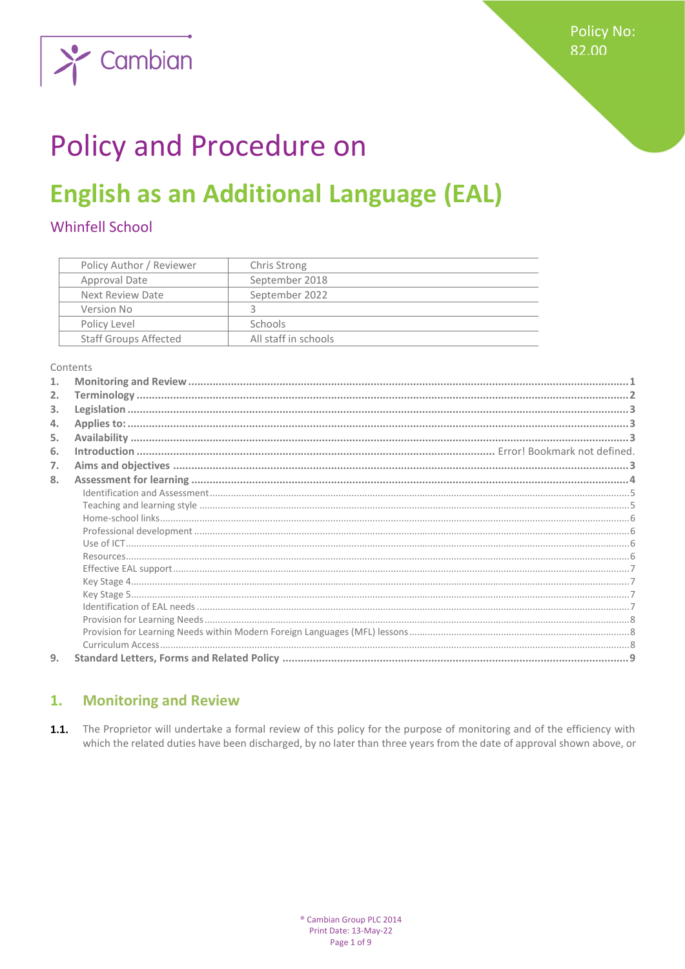

# Policy and Procedure on

## **English as an Additional Language (EAL)**

## **Whinfell School**

| Policy Author / Reviewer     | Chris Strong         |
|------------------------------|----------------------|
| Approval Date                | September 2018       |
| Next Review Date             | September 2022       |
| Version No                   |                      |
| Policy Level                 | <b>Schools</b>       |
| <b>Staff Groups Affected</b> | All staff in schools |

Contents

| 2. |  |
|----|--|
| 3. |  |
| 4. |  |
| 5. |  |
| 6. |  |
| 7. |  |
| 8. |  |
|    |  |
|    |  |
|    |  |
|    |  |
|    |  |
|    |  |
|    |  |
|    |  |
|    |  |
|    |  |
|    |  |
|    |  |
|    |  |
| 9. |  |

#### <span id="page-0-0"></span> $\overline{1}$ . **Monitoring and Review**

1.1. The Proprietor will undertake a formal review of this policy for the purpose of monitoring and of the efficiency with which the related duties have been discharged, by no later than three years from the date of approval shown above, or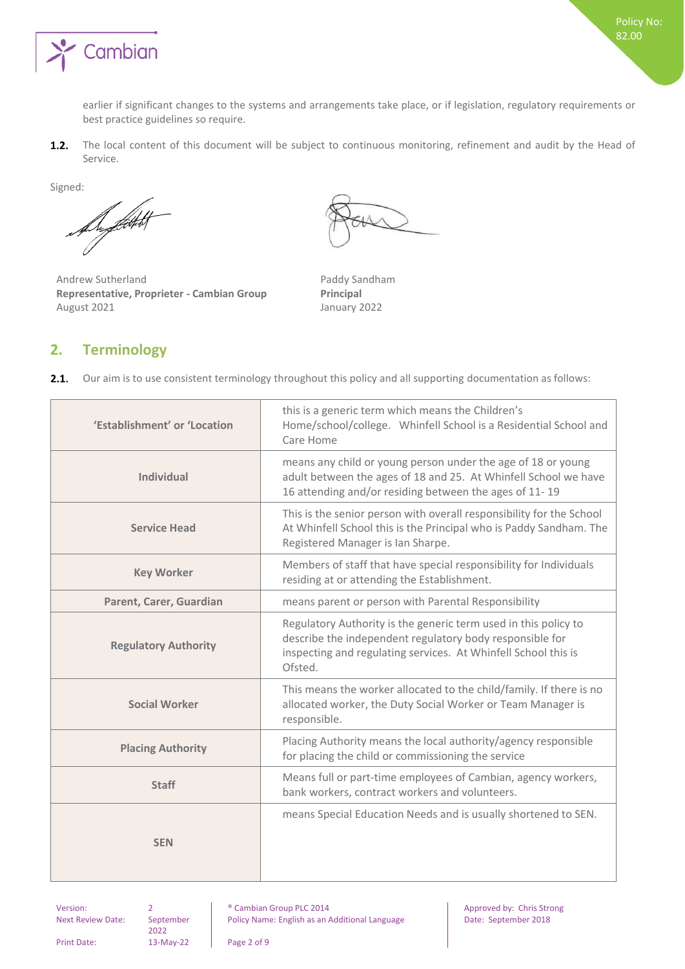

earlier if significant changes to the systems and arrangements take place, or if legislation, regulatory requirements or best practice guidelines so require.

The local content of this document will be subject to continuous monitoring, refinement and audit by the Head of  $1.2.$ Service.

Signed:

Al Litt

Andrew Sutherland **Paddy Sandham Representative, Proprieter - Cambian Group Principal** August 2021 **January 2022** 

## <span id="page-1-0"></span>**2. Terminology**

 $2.1.$ Our aim is to use consistent terminology throughout this policy and all supporting documentation as follows:

| 'Establishment' or 'Location | this is a generic term which means the Children's<br>Home/school/college. Whinfell School is a Residential School and<br>Care Home                                                                       |
|------------------------------|----------------------------------------------------------------------------------------------------------------------------------------------------------------------------------------------------------|
| <b>Individual</b>            | means any child or young person under the age of 18 or young<br>adult between the ages of 18 and 25. At Whinfell School we have<br>16 attending and/or residing between the ages of 11-19                |
| <b>Service Head</b>          | This is the senior person with overall responsibility for the School<br>At Whinfell School this is the Principal who is Paddy Sandham. The<br>Registered Manager is Ian Sharpe.                          |
| <b>Key Worker</b>            | Members of staff that have special responsibility for Individuals<br>residing at or attending the Establishment.                                                                                         |
| Parent, Carer, Guardian      | means parent or person with Parental Responsibility                                                                                                                                                      |
| <b>Regulatory Authority</b>  | Regulatory Authority is the generic term used in this policy to<br>describe the independent regulatory body responsible for<br>inspecting and regulating services. At Whinfell School this is<br>Ofsted. |
| <b>Social Worker</b>         | This means the worker allocated to the child/family. If there is no<br>allocated worker, the Duty Social Worker or Team Manager is<br>responsible.                                                       |
| <b>Placing Authority</b>     | Placing Authority means the local authority/agency responsible<br>for placing the child or commissioning the service                                                                                     |
| <b>Staff</b>                 | Means full or part-time employees of Cambian, agency workers,<br>bank workers, contract workers and volunteers.                                                                                          |
| <b>SEN</b>                   | means Special Education Needs and is usually shortened to SEN.                                                                                                                                           |

Next Review Date: September 2022

Version: 2 and 2 **Proved by:** Cambian Group PLC 2014 **Approved by:** Chris Strong Policy Name: English as an Additional Language Date: September 2018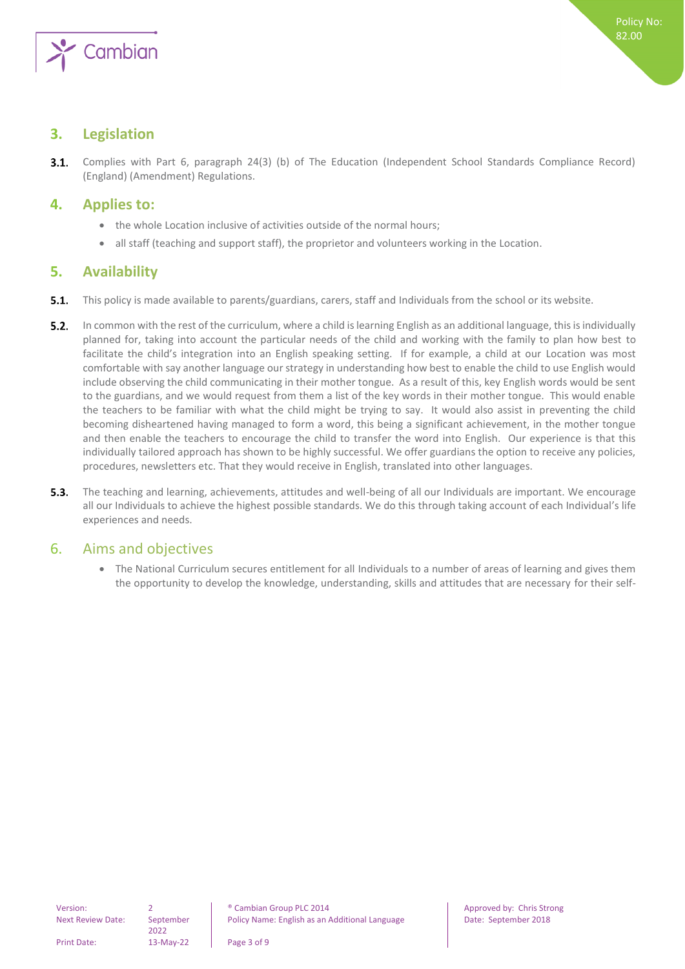

## <span id="page-2-0"></span>**3. Legislation**

Complies with Part 6, paragraph 24(3) (b) of The Education (Independent School Standards Compliance Record)  $3.1.$ (England) (Amendment) Regulations.

## <span id="page-2-1"></span>**4. Applies to:**

- the whole Location inclusive of activities outside of the normal hours;
- <span id="page-2-2"></span>• all staff (teaching and support staff), the proprietor and volunteers working in the Location.

## **5. Availability**

- $5.1.$ This policy is made available to parents/guardians, carers, staff and Individuals from the school or its website.
- $5.2.$ In common with the rest of the curriculum, where a child is learning English as an additional language, this is individually planned for, taking into account the particular needs of the child and working with the family to plan how best to facilitate the child's integration into an English speaking setting. If for example, a child at our Location was most comfortable with say another language our strategy in understanding how best to enable the child to use English would include observing the child communicating in their mother tongue. As a result of this, key English words would be sent to the guardians, and we would request from them a list of the key words in their mother tongue. This would enable the teachers to be familiar with what the child might be trying to say. It would also assist in preventing the child becoming disheartened having managed to form a word, this being a significant achievement, in the mother tongue and then enable the teachers to encourage the child to transfer the word into English. Our experience is that this individually tailored approach has shown to be highly successful. We offer guardians the option to receive any policies, procedures, newsletters etc. That they would receive in English, translated into other languages.
- $5.3.$ The teaching and learning, achievements, attitudes and well-being of all our Individuals are important. We encourage all our Individuals to achieve the highest possible standards. We do this through taking account of each Individual's life experiences and needs.

## <span id="page-2-3"></span>6. Aims and objectives

• The National Curriculum secures entitlement for all Individuals to a number of areas of learning and gives them the opportunity to develop the knowledge, understanding, skills and attitudes that are necessary for their self-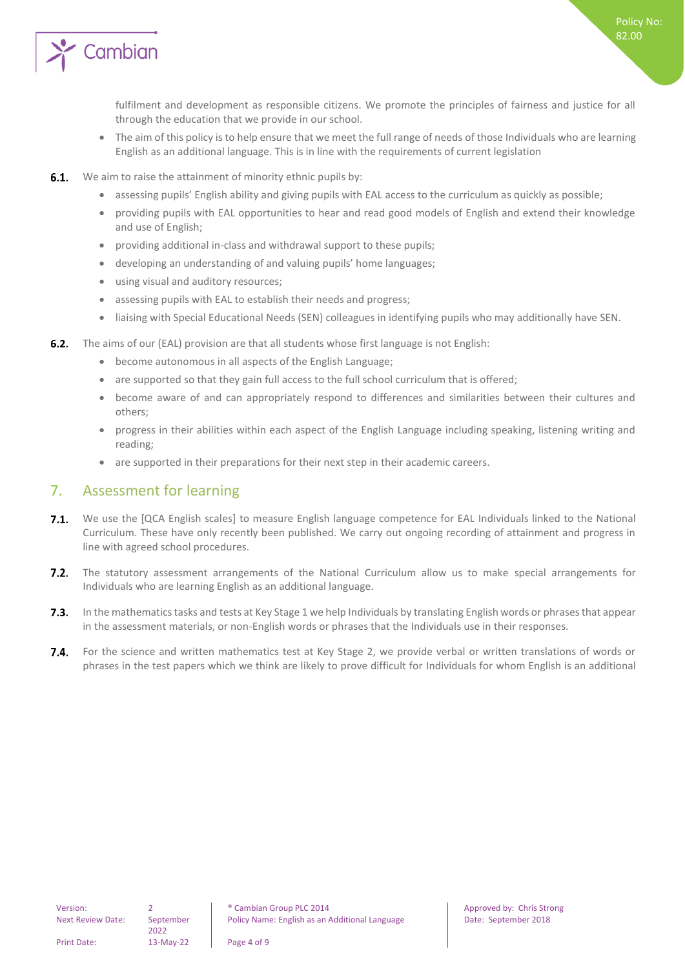

fulfilment and development as responsible citizens. We promote the principles of fairness and justice for all through the education that we provide in our school.

- The aim of this policy is to help ensure that we meet the full range of needs of those Individuals who are learning English as an additional language. This is in line with the requirements of current legislation
- $6.1.$ We aim to raise the attainment of minority ethnic pupils by:
	- assessing pupils' English ability and giving pupils with EAL access to the curriculum as quickly as possible;
	- providing pupils with EAL opportunities to hear and read good models of English and extend their knowledge and use of English;
	- providing additional in-class and withdrawal support to these pupils;
	- developing an understanding of and valuing pupils' home languages;
	- using visual and auditory resources;
	- assessing pupils with EAL to establish their needs and progress;
	- liaising with Special Educational Needs (SEN) colleagues in identifying pupils who may additionally have SEN.
- **6.2.** The aims of our (EAL) provision are that all students whose first language is not English:
	- become autonomous in all aspects of the English Language;
	- are supported so that they gain full access to the full school curriculum that is offered;
	- become aware of and can appropriately respond to differences and similarities between their cultures and others;
	- progress in their abilities within each aspect of the English Language including speaking, listening writing and reading;
	- are supported in their preparations for their next step in their academic careers.

## <span id="page-3-0"></span>7. Assessment for learning

- $7.1.$ We use the [QCA English scales] to measure English language competence for EAL Individuals linked to the National Curriculum. These have only recently been published. We carry out ongoing recording of attainment and progress in line with agreed school procedures.
- $7.2.$ The statutory assessment arrangements of the National Curriculum allow us to make special arrangements for Individuals who are learning English as an additional language.
- $7.3.$ In the mathematics tasks and tests at Key Stage 1 we help Individuals by translating English words or phrases that appear in the assessment materials, or non-English words or phrases that the Individuals use in their responses.
- $7.4.$ For the science and written mathematics test at Key Stage 2, we provide verbal or written translations of words or phrases in the test papers which we think are likely to prove difficult for Individuals for whom English is an additional

Print Date: 13-May-22 Page 4 of 9

2022

Policy No: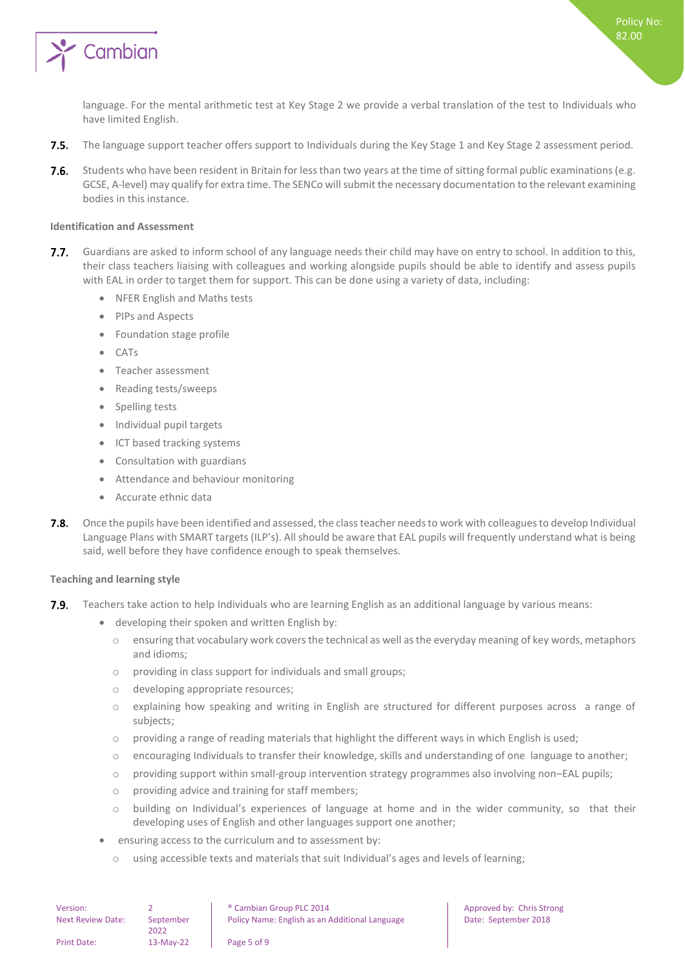

language. For the mental arithmetic test at Key Stage 2 we provide a verbal translation of the test to Individuals who have limited English.

- $7.5.$ The language support teacher offers support to Individuals during the Key Stage 1 and Key Stage 2 assessment period.
- $7.6.$ Students who have been resident in Britain for less than two years at the time of sitting formal public examinations (e.g. GCSE, A-level) may qualify for extra time. The SENCo will submit the necessary documentation to the relevant examining bodies in this instance.

#### <span id="page-4-0"></span>**Identification and Assessment**

- $7.7.$ Guardians are asked to inform school of any language needs their child may have on entry to school. In addition to this, their class teachers liaising with colleagues and working alongside pupils should be able to identify and assess pupils with EAL in order to target them for support. This can be done using a variety of data, including:
	- NFER English and Maths tests
	- PIPs and Aspects
	- Foundation stage profile
	- CATs
	- Teacher assessment
	- Reading tests/sweeps
	- Spelling tests
	- Individual pupil targets
	- ICT based tracking systems
	- Consultation with guardians
	- Attendance and behaviour monitoring
	- Accurate ethnic data
- $7.8.$ Once the pupils have been identified and assessed, the class teacher needs to work with colleagues to develop Individual Language Plans with SMART targets (ILP's). All should be aware that EAL pupils will frequently understand what is being said, well before they have confidence enough to speak themselves.

#### <span id="page-4-1"></span>**Teaching and learning style**

- $7.9.$ Teachers take action to help Individuals who are learning English as an additional language by various means:
	- developing their spoken and written English by:
		- o ensuring that vocabulary work covers the technical as well as the everyday meaning of key words, metaphors and idioms;
		- o providing in class support for individuals and small groups;
		- o developing appropriate resources;
		- o explaining how speaking and writing in English are structured for different purposes across a range of subjects;
		- $\circ$  providing a range of reading materials that highlight the different ways in which English is used;
		- $\circ$  encouraging Individuals to transfer their knowledge, skills and understanding of one language to another;
		- o providing support within small-group intervention strategy programmes also involving non–EAL pupils;
		- o providing advice and training for staff members;
		- o building on Individual's experiences of language at home and in the wider community, so that their developing uses of English and other languages support one another;
	- ensuring access to the curriculum and to assessment by:
		- o using accessible texts and materials that suit Individual's ages and levels of learning;

| Version:                 |                   | <sup>®</sup> Cambian Group PLC 2014            |
|--------------------------|-------------------|------------------------------------------------|
| <b>Next Review Date:</b> | September<br>2022 | Policy Name: English as an Additional Language |
| <b>Print Date:</b>       | 13-May-22         | Page 5 of 9                                    |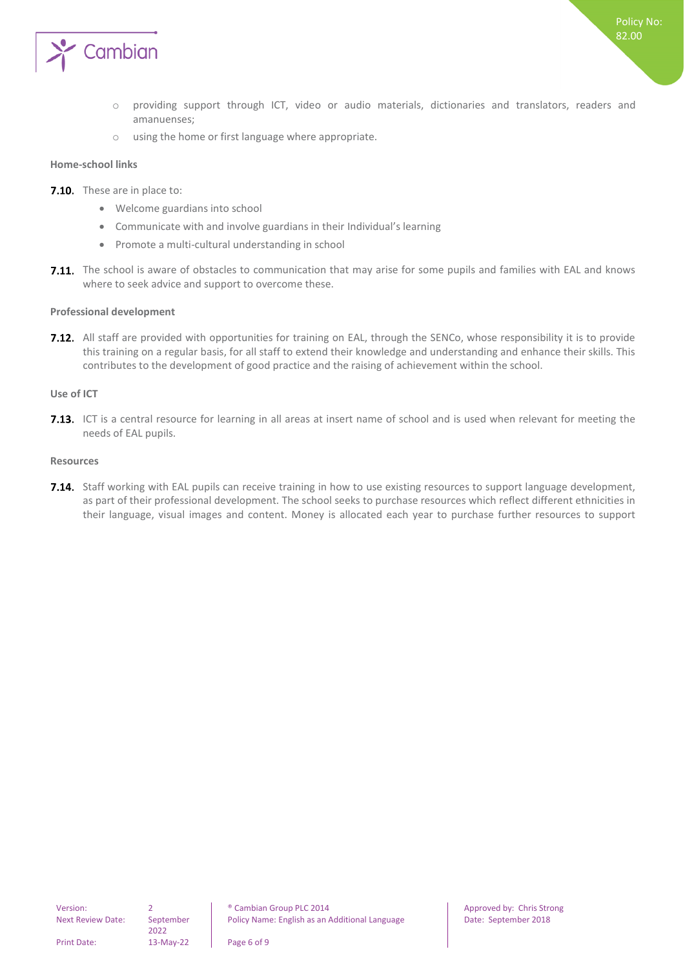

- o providing support through ICT, video or audio materials, dictionaries and translators, readers and amanuenses;
- o using the home or first language where appropriate.

#### <span id="page-5-0"></span>**Home-school links**

- 7.10. These are in place to:
	- Welcome guardians into school
	- Communicate with and involve guardians in their Individual's learning
	- Promote a multi-cultural understanding in school
- 7.11. The school is aware of obstacles to communication that may arise for some pupils and families with EAL and knows where to seek advice and support to overcome these.

#### <span id="page-5-1"></span>**Professional development**

7.12. All staff are provided with opportunities for training on EAL, through the SENCo, whose responsibility it is to provide this training on a regular basis, for all staff to extend their knowledge and understanding and enhance their skills. This contributes to the development of good practice and the raising of achievement within the school.

#### <span id="page-5-2"></span>**Use of ICT**

**7.13.** ICT is a central resource for learning in all areas at insert name of school and is used when relevant for meeting the needs of EAL pupils.

#### <span id="page-5-3"></span>**Resources**

7.14. Staff working with EAL pupils can receive training in how to use existing resources to support language development, as part of their professional development. The school seeks to purchase resources which reflect different ethnicities in their language, visual images and content. Money is allocated each year to purchase further resources to support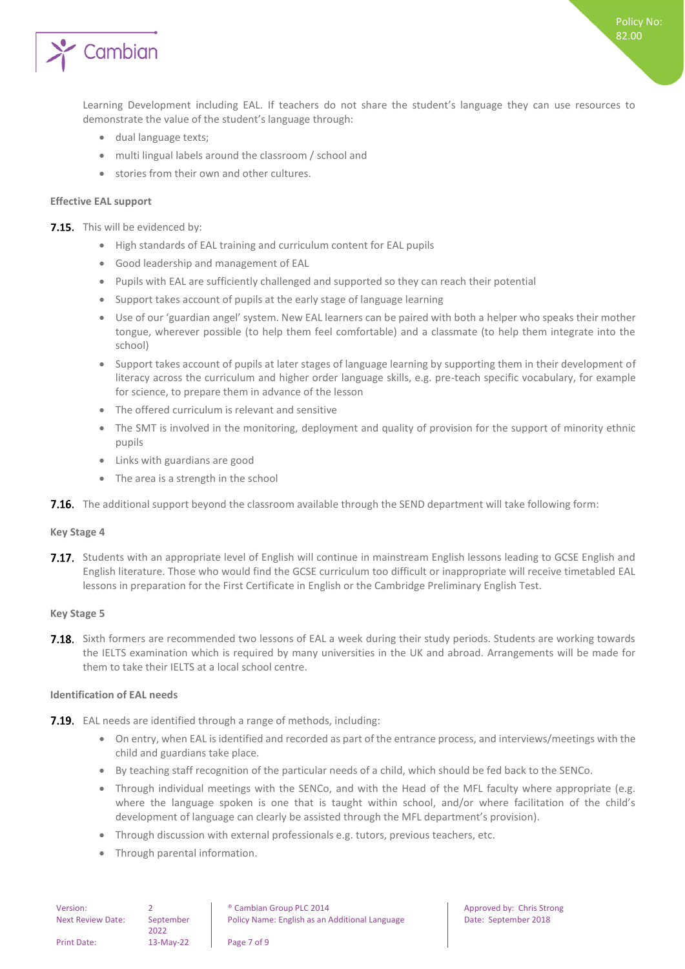

Learning Development including EAL. If teachers do not share the student's language they can use resources to demonstrate the value of the student's language through:

- dual language texts;
- multi lingual labels around the classroom / school and
- stories from their own and other cultures.

#### <span id="page-6-0"></span>**Effective EAL support**

7.15. This will be evidenced by:

- High standards of EAL training and curriculum content for EAL pupils
- Good leadership and management of EAL
- Pupils with EAL are sufficiently challenged and supported so they can reach their potential
- Support takes account of pupils at the early stage of language learning
- Use of our 'guardian angel' system. New EAL learners can be paired with both a helper who speaks their mother tongue, wherever possible (to help them feel comfortable) and a classmate (to help them integrate into the school)
- Support takes account of pupils at later stages of language learning by supporting them in their development of literacy across the curriculum and higher order language skills, e.g. pre-teach specific vocabulary, for example for science, to prepare them in advance of the lesson
- The offered curriculum is relevant and sensitive
- The SMT is involved in the monitoring, deployment and quality of provision for the support of minority ethnic pupils
- Links with guardians are good
- The area is a strength in the school
- <span id="page-6-1"></span>**7.16.** The additional support beyond the classroom available through the SEND department will take following form:

#### **Key Stage 4**

7.17. Students with an appropriate level of English will continue in mainstream English lessons leading to GCSE English and English literature. Those who would find the GCSE curriculum too difficult or inappropriate will receive timetabled EAL lessons in preparation for the First Certificate in English or the Cambridge Preliminary English Test.

#### <span id="page-6-2"></span>**Key Stage 5**

**7.18.** Sixth formers are recommended two lessons of EAL a week during their study periods. Students are working towards the IELTS examination which is required by many universities in the UK and abroad. Arrangements will be made for them to take their IELTS at a local school centre.

#### <span id="page-6-3"></span>**Identification of EAL needs**

- **7.19.** EAL needs are identified through a range of methods, including:
	- On entry, when EAL is identified and recorded as part of the entrance process, and interviews/meetings with the child and guardians take place.
	- By teaching staff recognition of the particular needs of a child, which should be fed back to the SENCo.
	- Through individual meetings with the SENCo, and with the Head of the MFL faculty where appropriate (e.g. where the language spoken is one that is taught within school, and/or where facilitation of the child's development of language can clearly be assisted through the MFL department's provision).
	- Through discussion with external professionals e.g. tutors, previous teachers, etc.
	- Through parental information.

| Version:                 |           | <sup>®</sup> Cambian Group PLC 2014            |
|--------------------------|-----------|------------------------------------------------|
| <b>Next Review Date:</b> | September | Policy Name: English as an Additional Language |
| <b>Print Date:</b>       | 13-May-22 | Page 7 of 9                                    |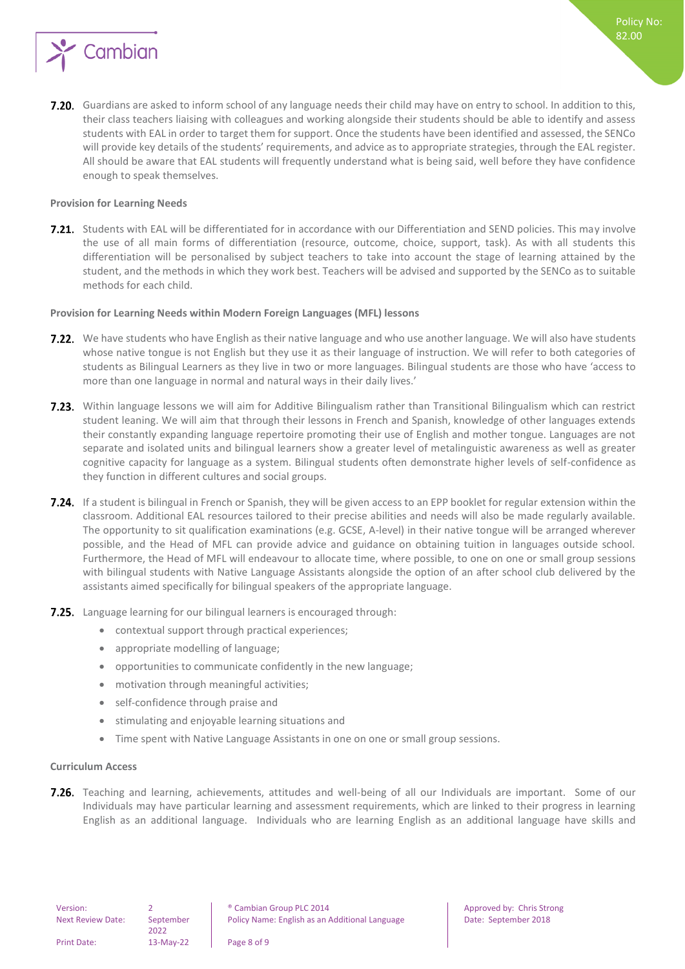

7.20. Guardians are asked to inform school of any language needs their child may have on entry to school. In addition to this, their class teachers liaising with colleagues and working alongside their students should be able to identify and assess students with EAL in order to target them for support. Once the students have been identified and assessed, the SENCo will provide key details of the students' requirements, and advice as to appropriate strategies, through the EAL register. All should be aware that EAL students will frequently understand what is being said, well before they have confidence enough to speak themselves.

#### <span id="page-7-0"></span>**Provision for Learning Needs**

**7.21.** Students with EAL will be differentiated for in accordance with our Differentiation and SEND policies. This may involve the use of all main forms of differentiation (resource, outcome, choice, support, task). As with all students this differentiation will be personalised by subject teachers to take into account the stage of learning attained by the student, and the methods in which they work best. Teachers will be advised and supported by the SENCo as to suitable methods for each child.

#### <span id="page-7-1"></span>**Provision for Learning Needs within Modern Foreign Languages (MFL) lessons**

- **7.22.** We have students who have English as their native language and who use another language. We will also have students whose native tongue is not English but they use it as their language of instruction. We will refer to both categories of students as Bilingual Learners as they live in two or more languages. Bilingual students are those who have 'access to more than one language in normal and natural ways in their daily lives.'
- **7.23.** Within language lessons we will aim for Additive Bilingualism rather than Transitional Bilingualism which can restrict student leaning. We will aim that through their lessons in French and Spanish, knowledge of other languages extends their constantly expanding language repertoire promoting their use of English and mother tongue. Languages are not separate and isolated units and bilingual learners show a greater level of metalinguistic awareness as well as greater cognitive capacity for language as a system. Bilingual students often demonstrate higher levels of self-confidence as they function in different cultures and social groups.
- 7.24. If a student is bilingual in French or Spanish, they will be given access to an EPP booklet for regular extension within the classroom. Additional EAL resources tailored to their precise abilities and needs will also be made regularly available. The opportunity to sit qualification examinations (e.g. GCSE, A-level) in their native tongue will be arranged wherever possible, and the Head of MFL can provide advice and guidance on obtaining tuition in languages outside school. Furthermore, the Head of MFL will endeavour to allocate time, where possible, to one on one or small group sessions with bilingual students with Native Language Assistants alongside the option of an after school club delivered by the assistants aimed specifically for bilingual speakers of the appropriate language.
- **7.25.** Language learning for our bilingual learners is encouraged through:
	- contextual support through practical experiences;
	- appropriate modelling of language;
	- opportunities to communicate confidently in the new language;
	- motivation through meaningful activities;
	- self-confidence through praise and
	- stimulating and enjoyable learning situations and
	- Time spent with Native Language Assistants in one on one or small group sessions.

#### <span id="page-7-2"></span>**Curriculum Access**

7.26. Teaching and learning, achievements, attitudes and well-being of all our Individuals are important. Some of our Individuals may have particular learning and assessment requirements, which are linked to their progress in learning English as an additional language. Individuals who are learning English as an additional language have skills and

2022

Print Date: 13-May-22 Page 8 of 9